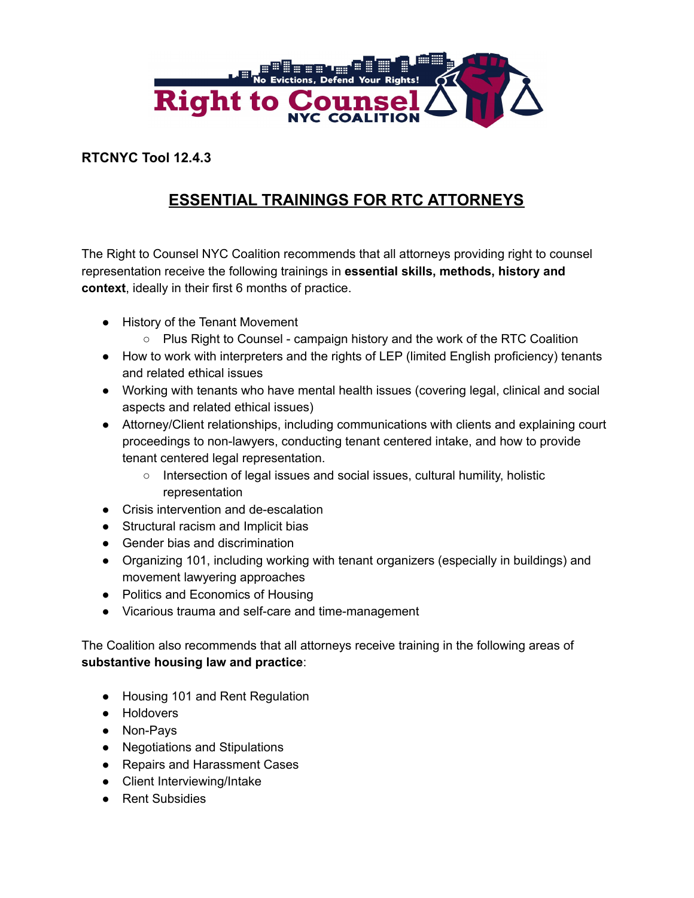

## **RTCNYC Tool 12.4.3**

## **ESSENTIAL TRAININGS FOR RTC ATTORNEYS**

The Right to Counsel NYC Coalition recommends that all attorneys providing right to counsel representation receive the following trainings in **essential skills, methods, history and context**, ideally in their first 6 months of practice.

- History of the Tenant Movement
	- $\circ$  Plus Right to Counsel campaign history and the work of the RTC Coalition
- How to work with interpreters and the rights of LEP (limited English proficiency) tenants and related ethical issues
- Working with tenants who have mental health issues (covering legal, clinical and social aspects and related ethical issues)
- Attorney/Client relationships, including communications with clients and explaining court proceedings to non-lawyers, conducting tenant centered intake, and how to provide tenant centered legal representation.
	- Intersection of legal issues and social issues, cultural humility, holistic representation
- Crisis intervention and de-escalation
- Structural racism and Implicit bias
- Gender bias and discrimination
- Organizing 101, including working with tenant organizers (especially in buildings) and movement lawyering approaches
- Politics and Economics of Housing
- Vicarious trauma and self-care and time-management

The Coalition also recommends that all attorneys receive training in the following areas of **substantive housing law and practice**:

- Housing 101 and Rent Regulation
- Holdovers
- Non-Pays
- Negotiations and Stipulations
- Repairs and Harassment Cases
- Client Interviewing/Intake
- Rent Subsidies